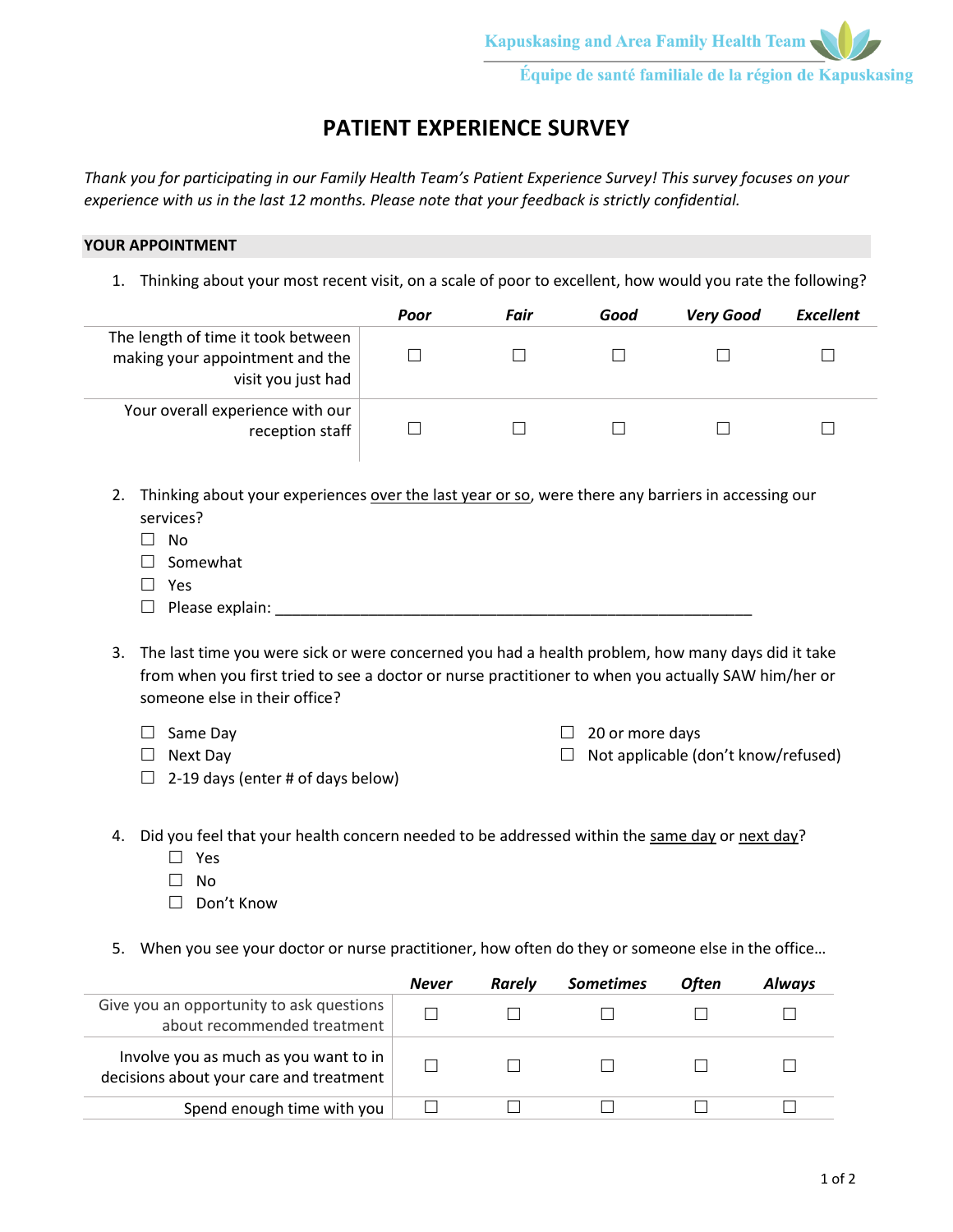# **PATIENT EXPERIENCE SURVEY**

*Thank you for participating in our Family Health Team's Patient Experience Survey! This survey focuses on your experience with us in the last 12 months. Please note that your feedback is strictly confidential.*

### **YOUR APPOINTMENT**

1. Thinking about your most recent visit, on a scale of poor to excellent, how would you rate the following?

|                                                                                             | Poor | Fair | Good | <b>Very Good</b> | Excellent |
|---------------------------------------------------------------------------------------------|------|------|------|------------------|-----------|
| The length of time it took between<br>making your appointment and the<br>visit you just had |      |      |      |                  |           |
| Your overall experience with our<br>reception staff                                         |      |      |      |                  |           |

- 2. Thinking about your experiences over the last year or so, were there any barriers in accessing our services?
	- $\square$  No
	- $\square$  Somewhat
	- □ Yes
	- $\Box$  Please explain:
- 3. The last time you were sick or were concerned you had a health problem, how many days did it take from when you first tried to see a doctor or nurse practitioner to when you actually SAW him/her or someone else in their office?
	- $\square$  Same Day
	- □ Next Day

 $\Box$  20 or more days

- $\Box$  Not applicable (don't know/refused)
- $\Box$  2-19 days (enter # of days below)
- 4. Did you feel that your health concern needed to be addressed within the same day or next day?
	- □ Yes
	- $\Box$  No
	- □ Don't Know
- 5. When you see your doctor or nurse practitioner, how often do they or someone else in the office…

|                                                                                  | <b>Never</b> | Rarely | <b>Sometimes</b> | <b>Often</b> | <b>Alwavs</b> |
|----------------------------------------------------------------------------------|--------------|--------|------------------|--------------|---------------|
| Give you an opportunity to ask questions<br>about recommended treatment          |              |        |                  |              |               |
| Involve you as much as you want to in<br>decisions about your care and treatment |              |        |                  |              |               |
| Spend enough time with you                                                       |              |        |                  |              |               |